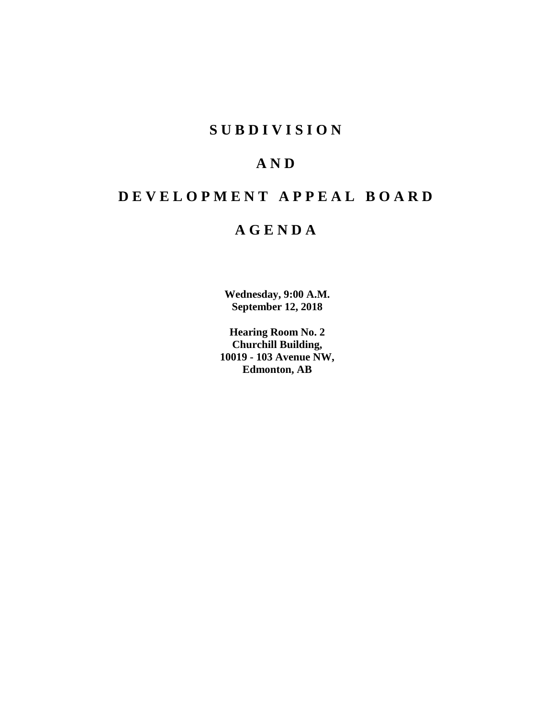# **S U B D I V I S I O N**

# **A N D**

# **D E V E L O P M E N T A P P E A L B O A R D**

# **A G E N D A**

**Wednesday, 9:00 A.M. September 12, 2018**

**Hearing Room No. 2 Churchill Building, 10019 - 103 Avenue NW, Edmonton, AB**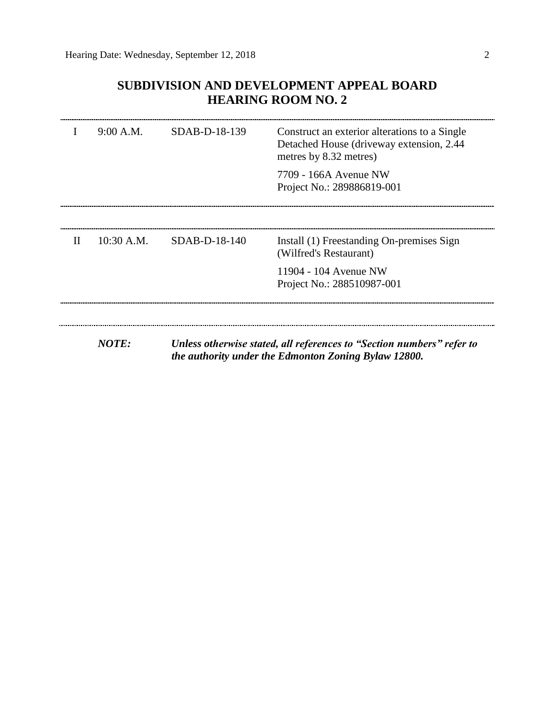# **SUBDIVISION AND DEVELOPMENT APPEAL BOARD HEARING ROOM NO. 2**

|              | 9:00 A.M.    | $SDAB-D-18-139$ | Construct an exterior alterations to a Single<br>Detached House (driveway extension, 2.44)<br>metres by 8.32 metres)          |
|--------------|--------------|-----------------|-------------------------------------------------------------------------------------------------------------------------------|
|              |              |                 | 7709 - 166A Avenue NW<br>Project No.: 289886819-001                                                                           |
|              |              |                 |                                                                                                                               |
| $\mathbf{H}$ | $10:30$ A.M. | $SDAB-D-18-140$ | Install (1) Freestanding On-premises Sign<br>(Wilfred's Restaurant)                                                           |
|              |              |                 | 11904 - 104 Avenue NW<br>Project No.: 288510987-001                                                                           |
|              |              |                 |                                                                                                                               |
|              | <b>NOTE:</b> |                 | Unless otherwise stated, all references to "Section numbers" refer to<br>the authority under the Edmonton Zoning Bylaw 12800. |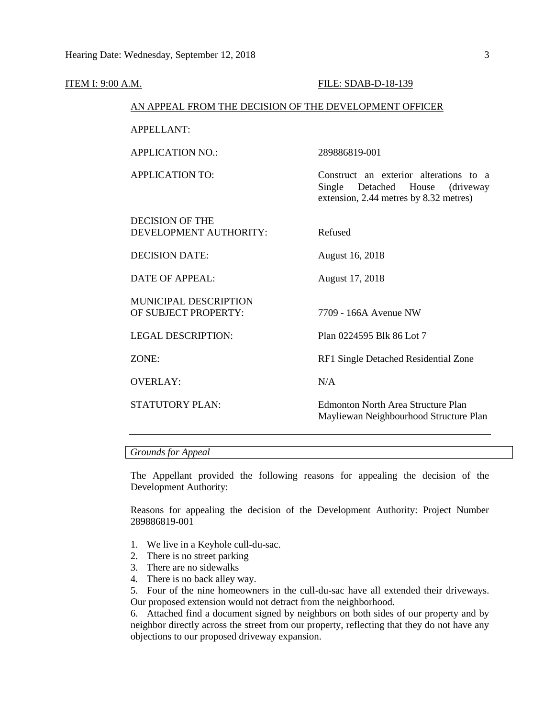| <b>ITEM I: 9:00 A.M.</b>                               |                                                  | FILE: SDAB-D-18-139                                                                                                     |
|--------------------------------------------------------|--------------------------------------------------|-------------------------------------------------------------------------------------------------------------------------|
| AN APPEAL FROM THE DECISION OF THE DEVELOPMENT OFFICER |                                                  |                                                                                                                         |
|                                                        | <b>APPELLANT:</b>                                |                                                                                                                         |
|                                                        | <b>APPLICATION NO.:</b>                          | 289886819-001                                                                                                           |
|                                                        | <b>APPLICATION TO:</b>                           | Construct an exterior alterations to a<br>Single Detached House<br>(driveway)<br>extension, 2.44 metres by 8.32 metres) |
|                                                        | <b>DECISION OF THE</b><br>DEVELOPMENT AUTHORITY: | Refused                                                                                                                 |
|                                                        | <b>DECISION DATE:</b>                            | August 16, 2018                                                                                                         |
|                                                        | <b>DATE OF APPEAL:</b>                           | August 17, 2018                                                                                                         |
|                                                        | MUNICIPAL DESCRIPTION<br>OF SUBJECT PROPERTY:    | 7709 - 166A Avenue NW                                                                                                   |
|                                                        | <b>LEGAL DESCRIPTION:</b>                        | Plan 0224595 Blk 86 Lot 7                                                                                               |
|                                                        | ZONE:                                            | RF1 Single Detached Residential Zone                                                                                    |
|                                                        | <b>OVERLAY:</b>                                  | N/A                                                                                                                     |
|                                                        | STATUTORY PLAN:                                  | <b>Edmonton North Area Structure Plan</b><br>Mayliewan Neighbourhood Structure Plan                                     |

### *Grounds for Appeal*

The Appellant provided the following reasons for appealing the decision of the Development Authority:

Reasons for appealing the decision of the Development Authority: Project Number 289886819-001

- 1. We live in a Keyhole cull-du-sac.
- 2. There is no street parking
- 3. There are no sidewalks
- 4. There is no back alley way.

5. Four of the nine homeowners in the cull-du-sac have all extended their driveways. Our proposed extension would not detract from the neighborhood.

6. Attached find a document signed by neighbors on both sides of our property and by neighbor directly across the street from our property, reflecting that they do not have any objections to our proposed driveway expansion.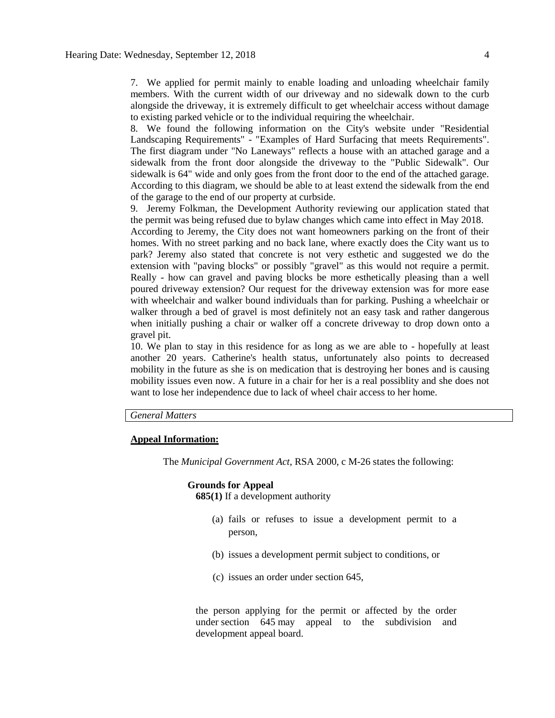7. We applied for permit mainly to enable loading and unloading wheelchair family members. With the current width of our driveway and no sidewalk down to the curb alongside the driveway, it is extremely difficult to get wheelchair access without damage to existing parked vehicle or to the individual requiring the wheelchair.

8. We found the following information on the City's website under "Residential Landscaping Requirements" - "Examples of Hard Surfacing that meets Requirements". The first diagram under "No Laneways" reflects a house with an attached garage and a sidewalk from the front door alongside the driveway to the "Public Sidewalk". Our sidewalk is 64" wide and only goes from the front door to the end of the attached garage. According to this diagram, we should be able to at least extend the sidewalk from the end of the garage to the end of our property at curbside.

9. Jeremy Folkman, the Development Authority reviewing our application stated that the permit was being refused due to bylaw changes which came into effect in May 2018. According to Jeremy, the City does not want homeowners parking on the front of their homes. With no street parking and no back lane, where exactly does the City want us to park? Jeremy also stated that concrete is not very esthetic and suggested we do the extension with "paving blocks" or possibly "gravel" as this would not require a permit. Really - how can gravel and paving blocks be more esthetically pleasing than a well poured driveway extension? Our request for the driveway extension was for more ease with wheelchair and walker bound individuals than for parking. Pushing a wheelchair or walker through a bed of gravel is most definitely not an easy task and rather dangerous when initially pushing a chair or walker off a concrete driveway to drop down onto a gravel pit.

10. We plan to stay in this residence for as long as we are able to - hopefully at least another 20 years. Catherine's health status, unfortunately also points to decreased mobility in the future as she is on medication that is destroying her bones and is causing mobility issues even now. A future in a chair for her is a real possiblity and she does not want to lose her independence due to lack of wheel chair access to her home.

## *General Matters*

#### **Appeal Information:**

The *Municipal Government Act*, RSA 2000, c M-26 states the following:

#### **Grounds for Appeal**

**685(1)** If a development authority

- (a) fails or refuses to issue a development permit to a person,
- (b) issues a development permit subject to conditions, or
- (c) issues an order under section 645,

the person applying for the permit or affected by the order under section 645 may appeal to the subdivision and development appeal board.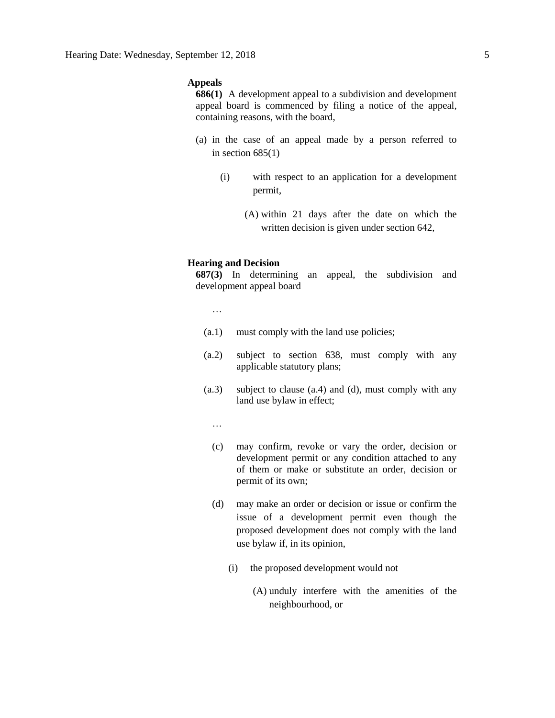### **Appeals**

**686(1)** A development appeal to a subdivision and development appeal board is commenced by filing a notice of the appeal, containing reasons, with the board,

- (a) in the case of an appeal made by a person referred to in section  $685(1)$ 
	- (i) with respect to an application for a development permit,
		- (A) within 21 days after the date on which the written decision is given under section 642,

#### **Hearing and Decision**

**687(3)** In determining an appeal, the subdivision and development appeal board

…

- (a.1) must comply with the land use policies;
- (a.2) subject to section 638, must comply with any applicable statutory plans;
- (a.3) subject to clause (a.4) and (d), must comply with any land use bylaw in effect;

…

- (c) may confirm, revoke or vary the order, decision or development permit or any condition attached to any of them or make or substitute an order, decision or permit of its own;
- (d) may make an order or decision or issue or confirm the issue of a development permit even though the proposed development does not comply with the land use bylaw if, in its opinion,
	- (i) the proposed development would not
		- (A) unduly interfere with the amenities of the neighbourhood, or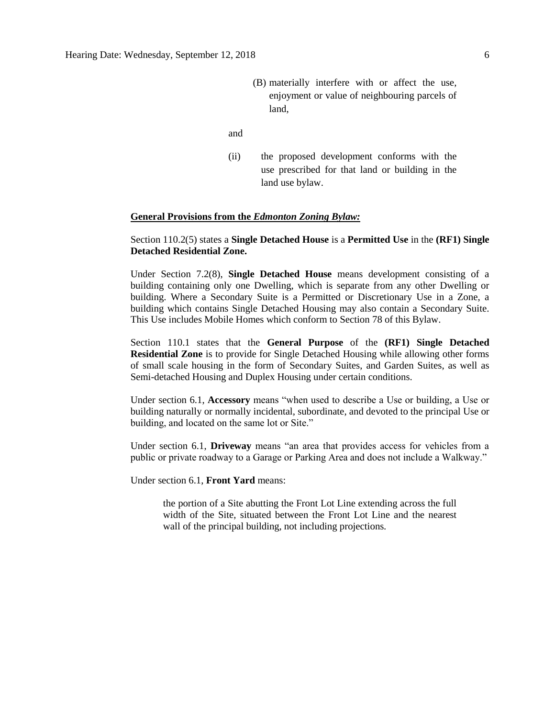- (B) materially interfere with or affect the use, enjoyment or value of neighbouring parcels of land,
- and
- (ii) the proposed development conforms with the use prescribed for that land or building in the land use bylaw.

#### **General Provisions from the** *Edmonton Zoning Bylaw:*

### Section 110.2(5) states a **Single Detached House** is a **Permitted Use** in the **(RF1) Single Detached Residential Zone.**

Under Section 7.2(8), **Single Detached House** means development consisting of a building containing only one Dwelling, which is separate from any other Dwelling or building. Where a Secondary Suite is a Permitted or Discretionary Use in a Zone, a building which contains Single Detached Housing may also contain a Secondary Suite. This Use includes Mobile Homes which conform to Section 78 of this Bylaw.

Section 110.1 states that the **General Purpose** of the **(RF1) Single Detached Residential Zone** is to provide for Single Detached Housing while allowing other forms of small scale housing in the form of Secondary Suites, and Garden Suites, as well as Semi-detached Housing and Duplex Housing under certain conditions.

Under section 6.1, **Accessory** means "when used to describe a Use or building, a Use or building naturally or normally incidental, subordinate, and devoted to the principal Use or building, and located on the same lot or Site."

Under section 6.1, **Driveway** means "an area that provides access for vehicles from a public or private roadway to a Garage or Parking Area and does not include a Walkway."

Under section 6.1, **Front Yard** means:

the portion of a Site abutting the Front Lot Line extending across the full width of the Site, situated between the Front Lot Line and the nearest wall of the principal building, not including projections.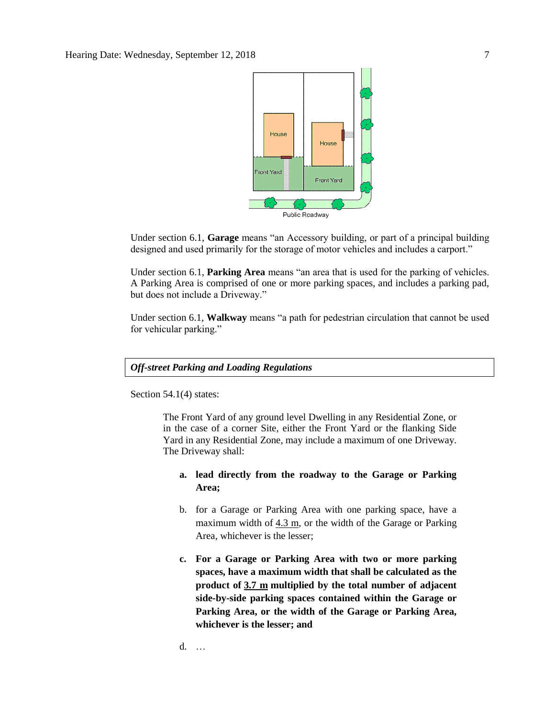

Under section 6.1, **Garage** means "an Accessory building, or part of a principal building designed and used primarily for the storage of motor vehicles and includes a carport."

Under section 6.1, **Parking Area** means "an area that is used for the parking of vehicles. A Parking Area is comprised of one or more parking spaces, and includes a parking pad, but does not include a Driveway."

Under section 6.1, **Walkway** means "a path for pedestrian circulation that cannot be used for vehicular parking."

*Off-street Parking and Loading Regulations*

Section 54.1(4) states:

The Front Yard of any ground level Dwelling in any Residential Zone, or in the case of a corner Site, either the Front Yard or the flanking Side Yard in any Residential Zone, may include a maximum of one Driveway. The Driveway shall:

## **a. lead directly from the roadway to the Garage or Parking Area;**

- b. for a Garage or Parking Area with one parking space, have a maximum width of  $4.3$  m, or the width of the Garage or Parking Area, whichever is the lesser;
- **c. For a Garage or Parking Area with two or more parking spaces, have a maximum width that shall be calculated as the product of [3.7 m](javascript:void(0);) multiplied by the total number of adjacent side-by-side parking spaces contained within the Garage or Parking Area, or the width of the Garage or Parking Area, whichever is the lesser; and**

d. …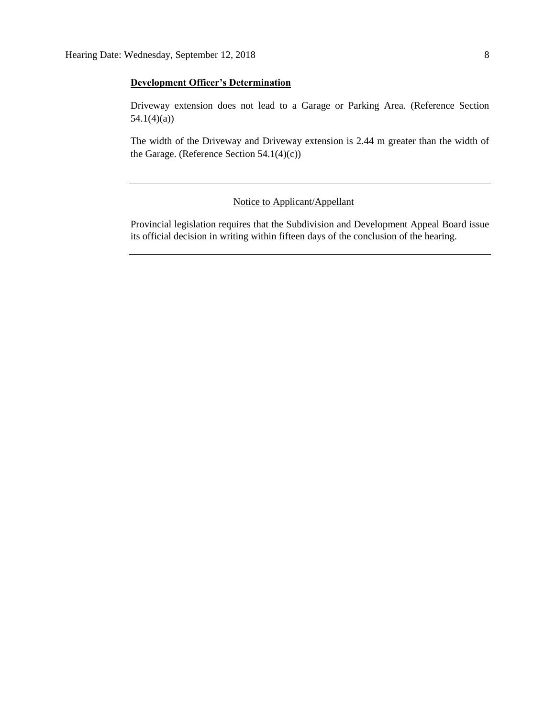### **Development Officer's Determination**

Driveway extension does not lead to a Garage or Parking Area. (Reference Section 54.1(4)(a))

The width of the Driveway and Driveway extension is 2.44 m greater than the width of the Garage. (Reference Section 54.1(4)(c))

### Notice to Applicant/Appellant

Provincial legislation requires that the Subdivision and Development Appeal Board issue its official decision in writing within fifteen days of the conclusion of the hearing.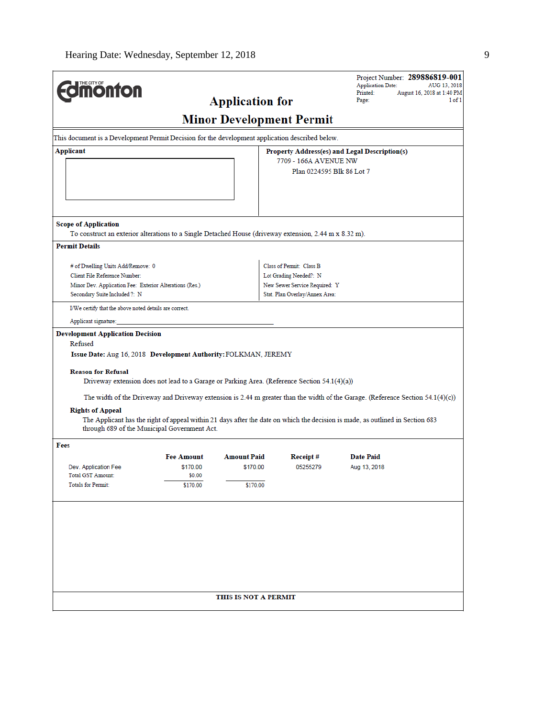|                                                                                                                                                                               |                                                                              |                                               | Project Number: 289886819-001<br><b>Application Date:</b><br>AUG 13, 2018<br>Printed:<br>August 16, 2018 at 1:40 PM                                                                                                                                                                                                                                                                                                                                                                                                                                                                                                |  |  |  |  |  |
|-------------------------------------------------------------------------------------------------------------------------------------------------------------------------------|------------------------------------------------------------------------------|-----------------------------------------------|--------------------------------------------------------------------------------------------------------------------------------------------------------------------------------------------------------------------------------------------------------------------------------------------------------------------------------------------------------------------------------------------------------------------------------------------------------------------------------------------------------------------------------------------------------------------------------------------------------------------|--|--|--|--|--|
|                                                                                                                                                                               |                                                                              |                                               | Page:<br>1 of 1                                                                                                                                                                                                                                                                                                                                                                                                                                                                                                                                                                                                    |  |  |  |  |  |
|                                                                                                                                                                               |                                                                              |                                               |                                                                                                                                                                                                                                                                                                                                                                                                                                                                                                                                                                                                                    |  |  |  |  |  |
|                                                                                                                                                                               |                                                                              |                                               |                                                                                                                                                                                                                                                                                                                                                                                                                                                                                                                                                                                                                    |  |  |  |  |  |
|                                                                                                                                                                               |                                                                              | Property Address(es) and Legal Description(s) |                                                                                                                                                                                                                                                                                                                                                                                                                                                                                                                                                                                                                    |  |  |  |  |  |
|                                                                                                                                                                               |                                                                              |                                               |                                                                                                                                                                                                                                                                                                                                                                                                                                                                                                                                                                                                                    |  |  |  |  |  |
|                                                                                                                                                                               |                                                                              |                                               |                                                                                                                                                                                                                                                                                                                                                                                                                                                                                                                                                                                                                    |  |  |  |  |  |
|                                                                                                                                                                               |                                                                              |                                               |                                                                                                                                                                                                                                                                                                                                                                                                                                                                                                                                                                                                                    |  |  |  |  |  |
|                                                                                                                                                                               |                                                                              |                                               |                                                                                                                                                                                                                                                                                                                                                                                                                                                                                                                                                                                                                    |  |  |  |  |  |
|                                                                                                                                                                               |                                                                              |                                               |                                                                                                                                                                                                                                                                                                                                                                                                                                                                                                                                                                                                                    |  |  |  |  |  |
|                                                                                                                                                                               |                                                                              |                                               |                                                                                                                                                                                                                                                                                                                                                                                                                                                                                                                                                                                                                    |  |  |  |  |  |
|                                                                                                                                                                               |                                                                              |                                               |                                                                                                                                                                                                                                                                                                                                                                                                                                                                                                                                                                                                                    |  |  |  |  |  |
|                                                                                                                                                                               |                                                                              |                                               |                                                                                                                                                                                                                                                                                                                                                                                                                                                                                                                                                                                                                    |  |  |  |  |  |
|                                                                                                                                                                               |                                                                              |                                               |                                                                                                                                                                                                                                                                                                                                                                                                                                                                                                                                                                                                                    |  |  |  |  |  |
| Minor Dev. Application Fee: Exterior Alterations (Res.)                                                                                                                       |                                                                              | New Sewer Service Required: Y                 |                                                                                                                                                                                                                                                                                                                                                                                                                                                                                                                                                                                                                    |  |  |  |  |  |
|                                                                                                                                                                               |                                                                              | Stat. Plan Overlay/Annex Area:                |                                                                                                                                                                                                                                                                                                                                                                                                                                                                                                                                                                                                                    |  |  |  |  |  |
|                                                                                                                                                                               |                                                                              |                                               |                                                                                                                                                                                                                                                                                                                                                                                                                                                                                                                                                                                                                    |  |  |  |  |  |
|                                                                                                                                                                               |                                                                              |                                               |                                                                                                                                                                                                                                                                                                                                                                                                                                                                                                                                                                                                                    |  |  |  |  |  |
| <b>Development Application Decision</b>                                                                                                                                       |                                                                              |                                               |                                                                                                                                                                                                                                                                                                                                                                                                                                                                                                                                                                                                                    |  |  |  |  |  |
| Refused                                                                                                                                                                       |                                                                              |                                               |                                                                                                                                                                                                                                                                                                                                                                                                                                                                                                                                                                                                                    |  |  |  |  |  |
|                                                                                                                                                                               |                                                                              |                                               |                                                                                                                                                                                                                                                                                                                                                                                                                                                                                                                                                                                                                    |  |  |  |  |  |
|                                                                                                                                                                               |                                                                              |                                               |                                                                                                                                                                                                                                                                                                                                                                                                                                                                                                                                                                                                                    |  |  |  |  |  |
|                                                                                                                                                                               |                                                                              |                                               |                                                                                                                                                                                                                                                                                                                                                                                                                                                                                                                                                                                                                    |  |  |  |  |  |
|                                                                                                                                                                               |                                                                              |                                               |                                                                                                                                                                                                                                                                                                                                                                                                                                                                                                                                                                                                                    |  |  |  |  |  |
| The width of the Driveway and Driveway extension is 2.44 m greater than the width of the Garage. (Reference Section 54.1(4)(c))<br><b>Rights of Appeal</b>                    |                                                                              |                                               |                                                                                                                                                                                                                                                                                                                                                                                                                                                                                                                                                                                                                    |  |  |  |  |  |
| The Applicant has the right of appeal within 21 days after the date on which the decision is made, as outlined in Section 683<br>through 689 of the Municipal Government Act. |                                                                              |                                               |                                                                                                                                                                                                                                                                                                                                                                                                                                                                                                                                                                                                                    |  |  |  |  |  |
|                                                                                                                                                                               |                                                                              |                                               |                                                                                                                                                                                                                                                                                                                                                                                                                                                                                                                                                                                                                    |  |  |  |  |  |
| <b>Fee Amount</b>                                                                                                                                                             |                                                                              | Receipt#                                      | <b>Date Paid</b>                                                                                                                                                                                                                                                                                                                                                                                                                                                                                                                                                                                                   |  |  |  |  |  |
|                                                                                                                                                                               |                                                                              |                                               | Aug 13, 2018                                                                                                                                                                                                                                                                                                                                                                                                                                                                                                                                                                                                       |  |  |  |  |  |
| \$170.00                                                                                                                                                                      |                                                                              |                                               |                                                                                                                                                                                                                                                                                                                                                                                                                                                                                                                                                                                                                    |  |  |  |  |  |
|                                                                                                                                                                               |                                                                              |                                               |                                                                                                                                                                                                                                                                                                                                                                                                                                                                                                                                                                                                                    |  |  |  |  |  |
|                                                                                                                                                                               |                                                                              |                                               |                                                                                                                                                                                                                                                                                                                                                                                                                                                                                                                                                                                                                    |  |  |  |  |  |
|                                                                                                                                                                               |                                                                              |                                               |                                                                                                                                                                                                                                                                                                                                                                                                                                                                                                                                                                                                                    |  |  |  |  |  |
|                                                                                                                                                                               |                                                                              |                                               |                                                                                                                                                                                                                                                                                                                                                                                                                                                                                                                                                                                                                    |  |  |  |  |  |
|                                                                                                                                                                               |                                                                              |                                               |                                                                                                                                                                                                                                                                                                                                                                                                                                                                                                                                                                                                                    |  |  |  |  |  |
|                                                                                                                                                                               |                                                                              |                                               |                                                                                                                                                                                                                                                                                                                                                                                                                                                                                                                                                                                                                    |  |  |  |  |  |
|                                                                                                                                                                               |                                                                              |                                               |                                                                                                                                                                                                                                                                                                                                                                                                                                                                                                                                                                                                                    |  |  |  |  |  |
|                                                                                                                                                                               |                                                                              |                                               |                                                                                                                                                                                                                                                                                                                                                                                                                                                                                                                                                                                                                    |  |  |  |  |  |
|                                                                                                                                                                               | THIS IS NOT A PERMIT                                                         |                                               |                                                                                                                                                                                                                                                                                                                                                                                                                                                                                                                                                                                                                    |  |  |  |  |  |
|                                                                                                                                                                               | I/We certify that the above noted details are correct.<br>\$170.00<br>\$0.00 |                                               | <b>Application for</b><br><b>Minor Development Permit</b><br>This document is a Development Permit Decision for the development application described below.<br>7709 - 166A AVENUE NW<br>Plan 0224595 Blk 86 Lot 7<br>To construct an exterior alterations to a Single Detached House (driveway extension, 2.44 m x 8.32 m).<br>Class of Permit: Class B<br>Lot Grading Needed?: N<br>Issue Date: Aug 16, 2018 Development Authority: FOLKMAN, JEREMY<br>Driveway extension does not lead to a Garage or Parking Area. (Reference Section $54.1(4)(a)$ )<br><b>Amount Paid</b><br>05255279<br>\$170.00<br>\$170.00 |  |  |  |  |  |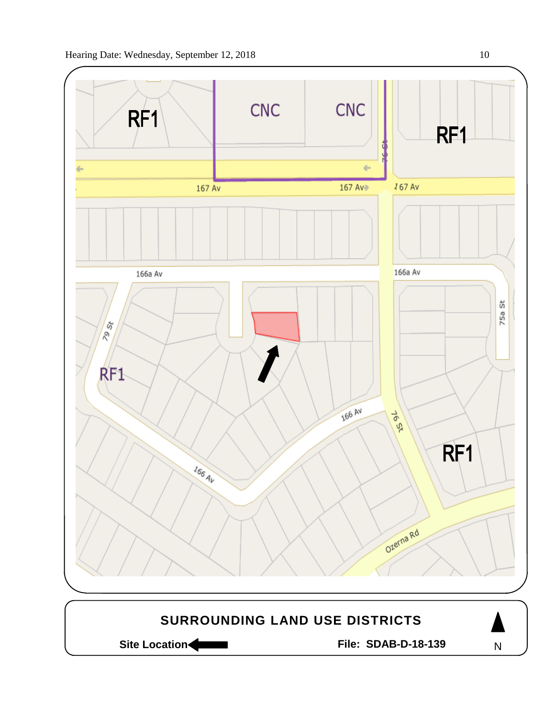

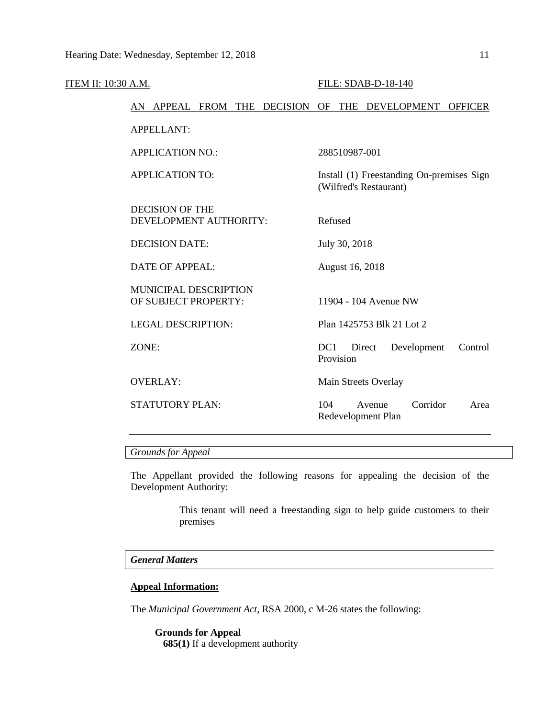| <b>ITEM II: 10:30 A.M.</b> |                                                        | FILE: SDAB-D-18-140                                                 |
|----------------------------|--------------------------------------------------------|---------------------------------------------------------------------|
|                            | AN APPEAL FROM THE DECISION OF THE DEVELOPMENT OFFICER |                                                                     |
|                            | <b>APPELLANT:</b>                                      |                                                                     |
|                            | <b>APPLICATION NO.:</b>                                | 288510987-001                                                       |
|                            | <b>APPLICATION TO:</b>                                 | Install (1) Freestanding On-premises Sign<br>(Wilfred's Restaurant) |
|                            | <b>DECISION OF THE</b><br>DEVELOPMENT AUTHORITY:       | Refused                                                             |
|                            | <b>DECISION DATE:</b>                                  | July 30, 2018                                                       |
|                            | <b>DATE OF APPEAL:</b>                                 | August 16, 2018                                                     |
|                            | <b>MUNICIPAL DESCRIPTION</b><br>OF SUBJECT PROPERTY:   | 11904 - 104 Avenue NW                                               |
|                            | <b>LEGAL DESCRIPTION:</b>                              | Plan 1425753 Blk 21 Lot 2                                           |
|                            | ZONE:                                                  | DC <sub>1</sub><br>Development<br>Direct<br>Control<br>Provision    |
|                            | <b>OVERLAY:</b>                                        | Main Streets Overlay                                                |
|                            | <b>STATUTORY PLAN:</b>                                 | Corridor<br>104<br>Avenue<br>Area<br>Redevelopment Plan             |
|                            |                                                        |                                                                     |

## *Grounds for Appeal*

The Appellant provided the following reasons for appealing the decision of the Development Authority:

> This tenant will need a freestanding sign to help guide customers to their premises

## *General Matters*

### **Appeal Information:**

The *Municipal Government Act*, RSA 2000, c M-26 states the following:

**Grounds for Appeal 685(1)** If a development authority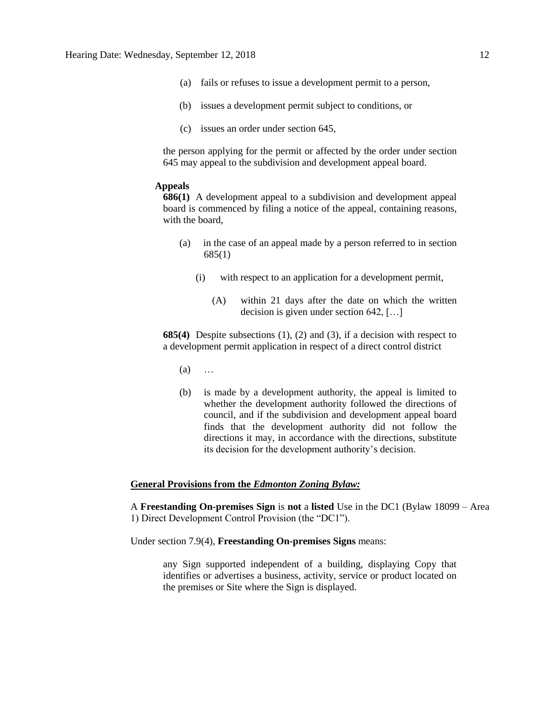- (a) fails or refuses to issue a development permit to a person,
- (b) issues a development permit subject to conditions, or
- (c) issues an order under section 645,

the person applying for the permit or affected by the order under section 645 may appeal to the subdivision and development appeal board.

#### **Appeals**

**686(1)** A development appeal to a subdivision and development appeal board is commenced by filing a notice of the appeal, containing reasons, with the board,

- (a) in the case of an appeal made by a person referred to in section 685(1)
	- (i) with respect to an application for a development permit,
		- (A) within 21 days after the date on which the written decision is given under section 642, […]

**685(4)** Despite subsections (1), (2) and (3), if a decision with respect to a development permit application in respect of a direct control district

- (a) …
- (b) is made by a development authority, the appeal is limited to whether the development authority followed the directions of council, and if the subdivision and development appeal board finds that the development authority did not follow the directions it may, in accordance with the directions, substitute its decision for the development authority's decision.

#### **General Provisions from the** *Edmonton Zoning Bylaw:*

A **Freestanding On-premises Sign** is **not** a **listed** Use in the DC1 (Bylaw 18099 – Area 1) Direct Development Control Provision (the "DC1").

Under section 7.9(4), **Freestanding On-premises Signs** means:

any Sign supported independent of a building, displaying Copy that identifies or advertises a business, activity, service or product located on the premises or Site where the Sign is displayed.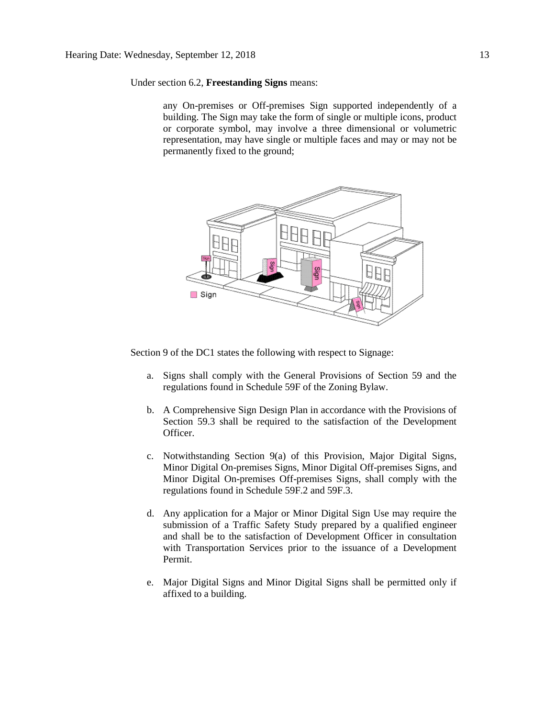Under section 6.2, **Freestanding Signs** means:

any On-premises or Off-premises Sign supported independently of a building. The Sign may take the form of single or multiple icons, product or corporate symbol, may involve a three dimensional or volumetric representation, may have single or multiple faces and may or may not be permanently fixed to the ground;



Section 9 of the DC1 states the following with respect to Signage:

- a. Signs shall comply with the General Provisions of Section 59 and the regulations found in Schedule 59F of the Zoning Bylaw.
- b. A Comprehensive Sign Design Plan in accordance with the Provisions of Section 59.3 shall be required to the satisfaction of the Development Officer.
- c. Notwithstanding Section 9(a) of this Provision, Major Digital Signs, Minor Digital On-premises Signs, Minor Digital Off-premises Signs, and Minor Digital On-premises Off-premises Signs, shall comply with the regulations found in Schedule 59F.2 and 59F.3.
- d. Any application for a Major or Minor Digital Sign Use may require the submission of a Traffic Safety Study prepared by a qualified engineer and shall be to the satisfaction of Development Officer in consultation with Transportation Services prior to the issuance of a Development Permit.
- e. Major Digital Signs and Minor Digital Signs shall be permitted only if affixed to a building.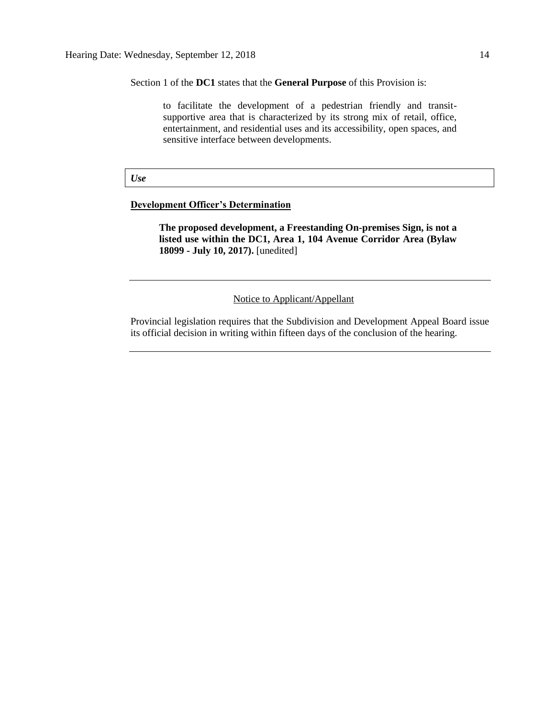Section 1 of the **DC1** states that the **General Purpose** of this Provision is:

to facilitate the development of a pedestrian friendly and transitsupportive area that is characterized by its strong mix of retail, office, entertainment, and residential uses and its accessibility, open spaces, and sensitive interface between developments.

*Use*

## **Development Officer's Determination**

**The proposed development, a Freestanding On-premises Sign, is not a listed use within the DC1, Area 1, 104 Avenue Corridor Area (Bylaw 18099 - July 10, 2017).** [unedited]

Notice to Applicant/Appellant

Provincial legislation requires that the Subdivision and Development Appeal Board issue its official decision in writing within fifteen days of the conclusion of the hearing.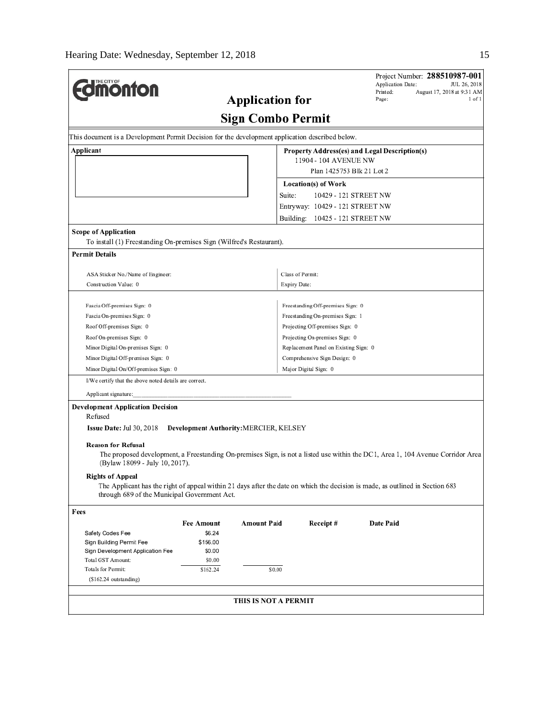<sub>r</sub>

| <b>Imonton</b><br><b>Application for</b><br><b>Sign Combo Permit</b><br>This document is a Development Permit Decision for the development application described below.<br>Applicant<br>Location(s) of Work<br>Suite:<br>Entryway: 10429 - 121 STREET NW<br>Building:<br><b>Scope of Application</b><br>To install (1) Freestanding On-premises Sign (Wilfred's Restaurant).<br><b>Permit Details</b><br>Class of Permit:<br>ASA Sticker No./Name of Engineer:<br>Construction Value: 0<br>Expiry Date:<br>Freestanding Off-premises Sign: 0<br>Fascia Off-premises Sign: 0 | August 17, 2018 at 9:31 AM<br>Page:<br>1 of 1<br>Property Address(es) and Legal Description(s)<br>11904 - 104 AVENUE NW<br>Plan 1425753 Blk 21 Lot 2<br>10429 - 121 STREET NW |  |  |  |  |  |
|-----------------------------------------------------------------------------------------------------------------------------------------------------------------------------------------------------------------------------------------------------------------------------------------------------------------------------------------------------------------------------------------------------------------------------------------------------------------------------------------------------------------------------------------------------------------------------|-------------------------------------------------------------------------------------------------------------------------------------------------------------------------------|--|--|--|--|--|
|                                                                                                                                                                                                                                                                                                                                                                                                                                                                                                                                                                             |                                                                                                                                                                               |  |  |  |  |  |
|                                                                                                                                                                                                                                                                                                                                                                                                                                                                                                                                                                             |                                                                                                                                                                               |  |  |  |  |  |
|                                                                                                                                                                                                                                                                                                                                                                                                                                                                                                                                                                             |                                                                                                                                                                               |  |  |  |  |  |
|                                                                                                                                                                                                                                                                                                                                                                                                                                                                                                                                                                             |                                                                                                                                                                               |  |  |  |  |  |
|                                                                                                                                                                                                                                                                                                                                                                                                                                                                                                                                                                             |                                                                                                                                                                               |  |  |  |  |  |
|                                                                                                                                                                                                                                                                                                                                                                                                                                                                                                                                                                             |                                                                                                                                                                               |  |  |  |  |  |
|                                                                                                                                                                                                                                                                                                                                                                                                                                                                                                                                                                             |                                                                                                                                                                               |  |  |  |  |  |
|                                                                                                                                                                                                                                                                                                                                                                                                                                                                                                                                                                             |                                                                                                                                                                               |  |  |  |  |  |
|                                                                                                                                                                                                                                                                                                                                                                                                                                                                                                                                                                             |                                                                                                                                                                               |  |  |  |  |  |
|                                                                                                                                                                                                                                                                                                                                                                                                                                                                                                                                                                             | 10425 - 121 STREET NW                                                                                                                                                         |  |  |  |  |  |
|                                                                                                                                                                                                                                                                                                                                                                                                                                                                                                                                                                             |                                                                                                                                                                               |  |  |  |  |  |
|                                                                                                                                                                                                                                                                                                                                                                                                                                                                                                                                                                             |                                                                                                                                                                               |  |  |  |  |  |
|                                                                                                                                                                                                                                                                                                                                                                                                                                                                                                                                                                             |                                                                                                                                                                               |  |  |  |  |  |
|                                                                                                                                                                                                                                                                                                                                                                                                                                                                                                                                                                             |                                                                                                                                                                               |  |  |  |  |  |
|                                                                                                                                                                                                                                                                                                                                                                                                                                                                                                                                                                             |                                                                                                                                                                               |  |  |  |  |  |
|                                                                                                                                                                                                                                                                                                                                                                                                                                                                                                                                                                             |                                                                                                                                                                               |  |  |  |  |  |
|                                                                                                                                                                                                                                                                                                                                                                                                                                                                                                                                                                             |                                                                                                                                                                               |  |  |  |  |  |
| Fascia On-premises Sign: 0<br>Freestanding On-premises Sign: 1                                                                                                                                                                                                                                                                                                                                                                                                                                                                                                              |                                                                                                                                                                               |  |  |  |  |  |
| Roof Off-premises Sign: 0<br>Projecting Off-premises Sign: 0                                                                                                                                                                                                                                                                                                                                                                                                                                                                                                                |                                                                                                                                                                               |  |  |  |  |  |
| Roof On-premises Sign: 0<br>Projecting On-premises Sign: 0                                                                                                                                                                                                                                                                                                                                                                                                                                                                                                                  |                                                                                                                                                                               |  |  |  |  |  |
| Minor Digital On-premises Sign: 0                                                                                                                                                                                                                                                                                                                                                                                                                                                                                                                                           | Replacement Panel on Existing Sign: 0                                                                                                                                         |  |  |  |  |  |
| Minor Digital Off-premises Sign: 0                                                                                                                                                                                                                                                                                                                                                                                                                                                                                                                                          | Comprehensive Sign Design: 0                                                                                                                                                  |  |  |  |  |  |
| Minor Digital On/Off-premises Sign: 0<br>Major Digital Sign: 0                                                                                                                                                                                                                                                                                                                                                                                                                                                                                                              |                                                                                                                                                                               |  |  |  |  |  |
| I/We certify that the above noted details are correct.                                                                                                                                                                                                                                                                                                                                                                                                                                                                                                                      |                                                                                                                                                                               |  |  |  |  |  |
| Applicant signature:                                                                                                                                                                                                                                                                                                                                                                                                                                                                                                                                                        |                                                                                                                                                                               |  |  |  |  |  |
| <b>Development Application Decision</b>                                                                                                                                                                                                                                                                                                                                                                                                                                                                                                                                     |                                                                                                                                                                               |  |  |  |  |  |
| Refused                                                                                                                                                                                                                                                                                                                                                                                                                                                                                                                                                                     |                                                                                                                                                                               |  |  |  |  |  |
| Issue Date: Jul 30, 2018<br>Development Authority: MERCIER, KELSEY                                                                                                                                                                                                                                                                                                                                                                                                                                                                                                          |                                                                                                                                                                               |  |  |  |  |  |
|                                                                                                                                                                                                                                                                                                                                                                                                                                                                                                                                                                             |                                                                                                                                                                               |  |  |  |  |  |
| <b>Reason for Refusal</b><br>The proposed development, a Freestanding On-premises Sign, is not a listed use within the DC1, Area 1, 104 Avenue Corridor Area                                                                                                                                                                                                                                                                                                                                                                                                                |                                                                                                                                                                               |  |  |  |  |  |
| (Bylaw 18099 - July 10, 2017).                                                                                                                                                                                                                                                                                                                                                                                                                                                                                                                                              |                                                                                                                                                                               |  |  |  |  |  |
| <b>Rights of Appeal</b>                                                                                                                                                                                                                                                                                                                                                                                                                                                                                                                                                     |                                                                                                                                                                               |  |  |  |  |  |
| The Applicant has the right of appeal within 21 days after the date on which the decision is made, as outlined in Section 683                                                                                                                                                                                                                                                                                                                                                                                                                                               |                                                                                                                                                                               |  |  |  |  |  |
| through 689 of the Municipal Government Act.                                                                                                                                                                                                                                                                                                                                                                                                                                                                                                                                |                                                                                                                                                                               |  |  |  |  |  |
|                                                                                                                                                                                                                                                                                                                                                                                                                                                                                                                                                                             |                                                                                                                                                                               |  |  |  |  |  |
| Fees                                                                                                                                                                                                                                                                                                                                                                                                                                                                                                                                                                        |                                                                                                                                                                               |  |  |  |  |  |
| Amount Paid<br>Receipt#<br><b>Fee Amount</b><br>Safety Codes Fee<br>\$6.24                                                                                                                                                                                                                                                                                                                                                                                                                                                                                                  | Date Paid                                                                                                                                                                     |  |  |  |  |  |
| Sign Building Permit Fee<br>\$156.00                                                                                                                                                                                                                                                                                                                                                                                                                                                                                                                                        |                                                                                                                                                                               |  |  |  |  |  |
| Sign Development Application Fee<br>\$0.00                                                                                                                                                                                                                                                                                                                                                                                                                                                                                                                                  |                                                                                                                                                                               |  |  |  |  |  |
| Total GST Amount:<br>\$0.00                                                                                                                                                                                                                                                                                                                                                                                                                                                                                                                                                 |                                                                                                                                                                               |  |  |  |  |  |
| Totals for Permit:<br>\$162.24<br>\$0.00                                                                                                                                                                                                                                                                                                                                                                                                                                                                                                                                    |                                                                                                                                                                               |  |  |  |  |  |
| $(S162.24$ outstanding)                                                                                                                                                                                                                                                                                                                                                                                                                                                                                                                                                     |                                                                                                                                                                               |  |  |  |  |  |
|                                                                                                                                                                                                                                                                                                                                                                                                                                                                                                                                                                             |                                                                                                                                                                               |  |  |  |  |  |
| THIS IS NOT A PERMIT                                                                                                                                                                                                                                                                                                                                                                                                                                                                                                                                                        |                                                                                                                                                                               |  |  |  |  |  |